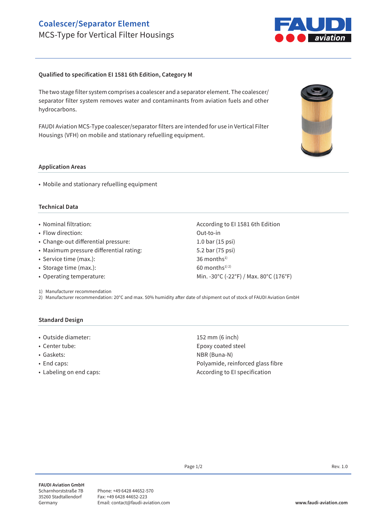## **Coalescer/Separator Element** MCS-Type for Vertical Filter Housings



## **Qualified to specification EI 1581 6th Edition, Category M**

The two stage filter system comprises a coalescer and a separator element. The coalescer/ separator filter system removes water and contaminants from aviation fuels and other hydrocarbons.

FAUDI Aviation MCS-Type coalescer/separator filters are intended for use in Vertical Filter Housings (VFH) on mobile and stationary refuelling equipment.

#### **Application Areas**

• Mobile and stationary refuelling equipment

### **Technical Data**

- Nominal filtration:  $\blacksquare$  According to EI 1581 6th Edition
- Flow direction: Out-to-in
- Change-out differential pressure: 1.0 bar (15 psi)
- Maximum pressure differential rating: 5.2 bar (75 psi)
- Service time (max.): 36 months<sup>1)</sup>
- Storage time (max.):  $60$  months<sup>1) 2)</sup>
- Operating temperature: Min. -30°C (-22°F) / Max. 80°C (176°F)

1) Manufacturer recommendation

2) Manufacturer recommendation: 20°C and max. 50% humidity after date of shipment out of stock of FAUDI Aviation GmbH

#### **Standard Design**

- Outside diameter: 152 mm (6 inch)
- 
- 
- 
- 

• Center tube: Epoxy coated steel • Gaskets: NBR (Buna-N) • End caps: Polyamide, reinforced glass fibre • Labeling on end caps:  $\overline{a}$  According to EI specification